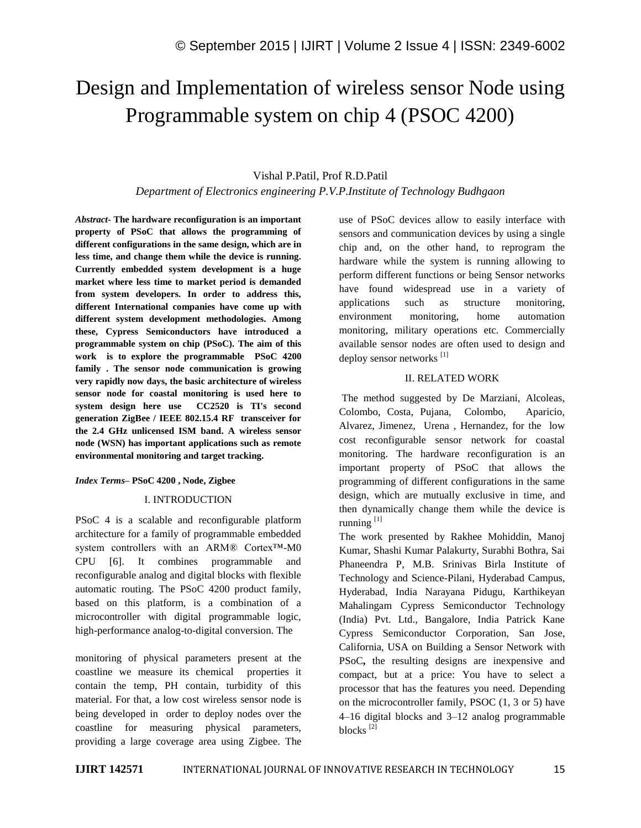# Design and Implementation of wireless sensor Node using Programmable system on chip 4 (PSOC 4200)

# Vishal P.Patil, Prof R.D.Patil

# *Department of Electronics engineering P.V.P.Institute of Technology Budhgaon*

*Abstract-* **The hardware reconfiguration is an important property of PSoC that allows the programming of different configurations in the same design, which are in less time, and change them while the device is running. Currently embedded system development is a huge market where less time to market period is demanded from system developers. In order to address this, different International companies have come up with different system development methodologies. Among these, Cypress Semiconductors have introduced a programmable system on chip (PSoC). The aim of this work is to explore the programmable PSoC 4200 family . The sensor node communication is growing very rapidly now days, the basic architecture of wireless sensor node for coastal monitoring is used here to system design here use CC2520 is TI's second generation ZigBee / IEEE 802.15.4 RF transceiver for the 2.4 GHz unlicensed ISM band. A wireless sensor node (WSN) has important applications such as remote environmental monitoring and target tracking.**

#### *Index Terms–* **PSoC 4200 , Node, Zigbee**

#### I. INTRODUCTION

PSoC 4 is a scalable and reconfigurable platform architecture for a family of programmable embedded system controllers with an ARM® Cortex™-M0 CPU [6]. It combines programmable and reconfigurable analog and digital blocks with flexible automatic routing. The PSoC 4200 product family, based on this platform, is a combination of a microcontroller with digital programmable logic, high-performance analog-to-digital conversion. The

monitoring of physical parameters present at the coastline we measure its chemical properties it contain the temp, PH contain, turbidity of this material. For that, a low cost wireless sensor node is being developed in order to deploy nodes over the coastline for measuring physical parameters, providing a large coverage area using Zigbee. The use of PSoC devices allow to easily interface with sensors and communication devices by using a single chip and, on the other hand, to reprogram the hardware while the system is running allowing to perform different functions or being Sensor networks have found widespread use in a variety of applications such as structure monitoring, environment monitoring, home automation monitoring, military operations etc. Commercially available sensor nodes are often used to design and deploy sensor networks [1]

## II. RELATED WORK

The method suggested by De Marziani, Alcoleas, Colombo, Costa, Pujana, Colombo, Aparicio, Alvarez, Jimenez, Urena , Hernandez, for the low cost reconfigurable sensor network for coastal monitoring. The hardware reconfiguration is an important property of PSoC that allows the programming of different configurations in the same design, which are mutually exclusive in time, and then dynamically change them while the device is running  $^{[1]}$ 

The work presented by Rakhee Mohiddin, Manoj Kumar, Shashi Kumar Palakurty, Surabhi Bothra, Sai Phaneendra P, M.B. Srinivas Birla Institute of Technology and Science-Pilani, Hyderabad Campus, Hyderabad, India Narayana Pidugu, Karthikeyan Mahalingam Cypress Semiconductor Technology (India) Pvt. Ltd., Bangalore, India Patrick Kane Cypress Semiconductor Corporation, San Jose, California, USA on Building a Sensor Network with PSoC**,** the resulting designs are inexpensive and compact, but at a price: You have to select a processor that has the features you need. Depending on the microcontroller family, PSOC (1, 3 or 5) have 4–16 digital blocks and 3–12 analog programmable blocks<sup>[2]</sup>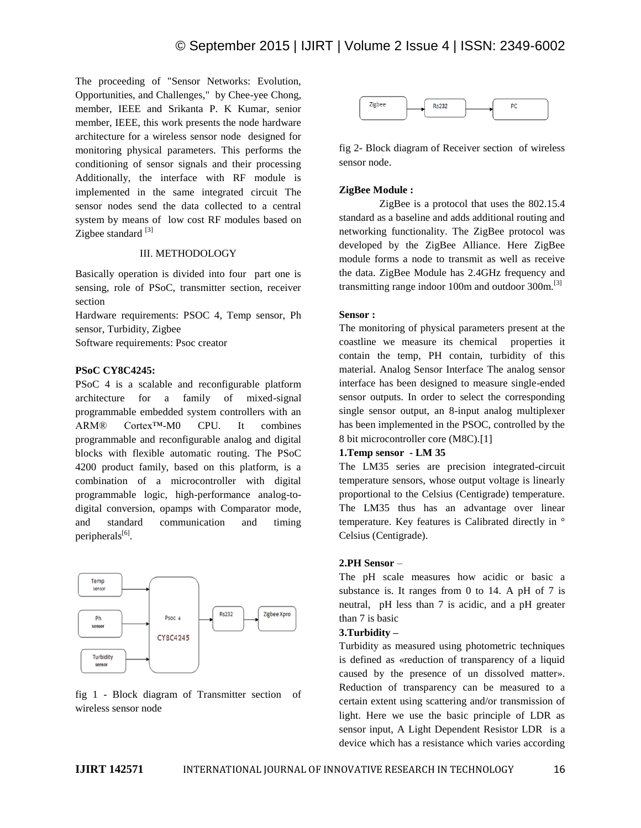The proceeding of "Sensor Networks: Evolution, Opportunities, and Challenges," by Chee-yee Chong, member, IEEE and Srikanta P. K Kumar, senior member, IEEE, this work presents the node hardware architecture for a wireless sensor node designed for monitoring physical parameters. This performs the conditioning of sensor signals and their processing Additionally, the interface with RF module is implemented in the same integrated circuit The sensor nodes send the data collected to a central system by means of low cost RF modules based on Zigbee standard  $^{[3]}$ 

# III. METHODOLOGY

Basically operation is divided into four part one is sensing, role of PSoC, transmitter section, receiver section

Hardware requirements: PSOC 4, Temp sensor, Ph sensor, Turbidity, Zigbee

Software requirements: Psoc creator

## **PSoC CY8C4245:**

PSoC 4 is a scalable and reconfigurable platform architecture for a family of mixed-signal programmable embedded system controllers with an ARM® Cortex™-M0 CPU. It combines programmable and reconfigurable analog and digital blocks with flexible automatic routing. The PSoC 4200 product family, based on this platform, is a combination of a microcontroller with digital programmable logic, high-performance analog-todigital conversion, opamps with Comparator mode, and standard communication and timing peripherals<sup>[6]</sup>.



fig 1 - Block diagram of Transmitter section of wireless sensor node



fig 2- Block diagram of Receiver section of wireless sensor node.

#### **ZigBee Module :**

ZigBee is a protocol that uses the 802.15.4 standard as a baseline and adds additional routing and networking functionality. The ZigBee protocol was developed by the ZigBee Alliance. Here ZigBee module forms a node to transmit as well as receive the data. ZigBee Module has 2.4GHz frequency and transmitting range indoor 100m and outdoor 300m.<sup>[3]</sup>

#### **Sensor :**

The monitoring of physical parameters present at the coastline we measure its chemical properties it contain the temp, PH contain, turbidity of this material. Analog Sensor Interface The analog sensor interface has been designed to measure single-ended sensor outputs. In order to select the corresponding single sensor output, an 8-input analog multiplexer has been implemented in the PSOC, controlled by the 8 bit microcontroller core (M8C).[1]

#### **1.Temp sensor - LM 35**

The LM35 series are precision integrated-circuit temperature sensors, whose output voltage is linearly proportional to the Celsius (Centigrade) temperature. The LM35 thus has an advantage over linear temperature. Key features is Calibrated directly in ° Celsius (Centigrade).

#### **2.PH Sensor** –

The pH scale measures how acidic or basic a substance is. It ranges from 0 to 14. A pH of 7 is neutral, pH less than 7 is acidic, and a pH greater than 7 is basic

## **3.Turbidity –**

Turbidity as measured using photometric techniques is defined as «reduction of transparency of a liquid caused by the presence of un dissolved matter». Reduction of transparency can be measured to a certain extent using scattering and/or transmission of light. Here we use the basic principle of LDR as sensor input, A Light Dependent Resistor LDR is a device which has a resistance which varies according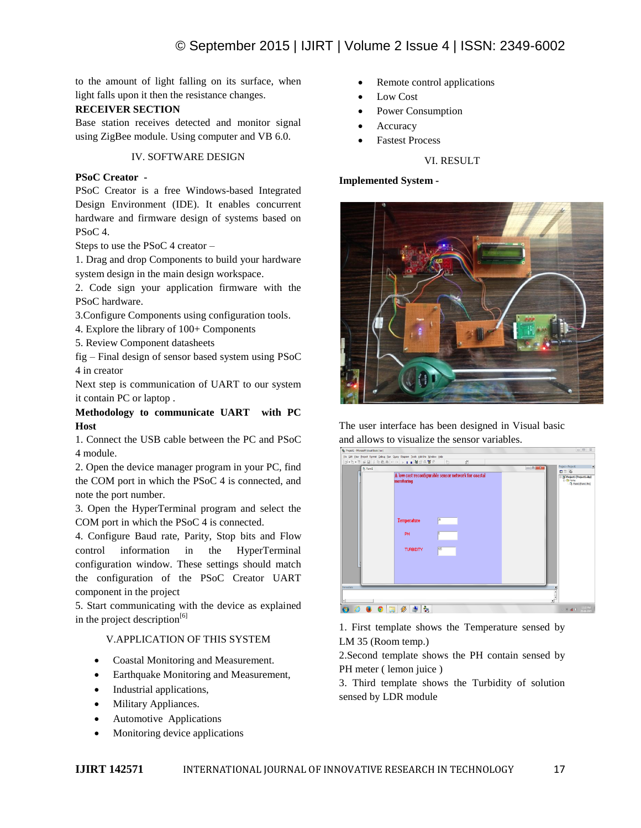to the amount of light falling on its surface, when light falls upon it then the resistance changes.

# **RECEIVER SECTION**

Base station receives detected and monitor signal using ZigBee module. Using computer and VB 6.0.

# IV. SOFTWARE DESIGN

# **PSoC Creator -**

PSoC Creator is a free Windows-based Integrated Design Environment (IDE). It enables concurrent hardware and firmware design of systems based on PSoC 4.

Steps to use the PSoC 4 creator –

1. Drag and drop Components to build your hardware system design in the main design workspace.

2. Code sign your application firmware with the PSoC hardware.

3.Configure Components using configuration tools.

4. Explore the library of 100+ Components

5. Review Component datasheets

fig – Final design of sensor based system using PSoC 4 in creator

Next step is communication of UART to our system it contain PC or laptop .

# **Methodology to communicate UART with PC Host**

1. Connect the USB cable between the PC and PSoC 4 module.

2. Open the device manager program in your PC, find the COM port in which the PSoC 4 is connected, and note the port number.

3. Open the HyperTerminal program and select the COM port in which the PSoC 4 is connected.

4. Configure Baud rate, Parity, Stop bits and Flow control information in the HyperTerminal configuration window. These settings should match the configuration of the PSoC Creator UART component in the project

5. Start communicating with the device as explained in the project description<sup>[6]</sup>

# V.APPLICATION OF THIS SYSTEM

- Coastal Monitoring and Measurement.
- Earthquake Monitoring and Measurement,
- Industrial applications,
- Military Appliances.
- Automotive Applications
- Monitoring device applications
- Remote control applications
- Low Cost
- Power Consumption
- Accuracy
- Fastest Process

# VI. RESULT

## **Implemented System -**



The user interface has been designed in Visual basic and allows to visualize the sensor variables.



1. First template shows the Temperature sensed by LM 35 (Room temp.)

2.Second template shows the PH contain sensed by PH meter ( lemon juice )

3. Third template shows the Turbidity of solution sensed by LDR module